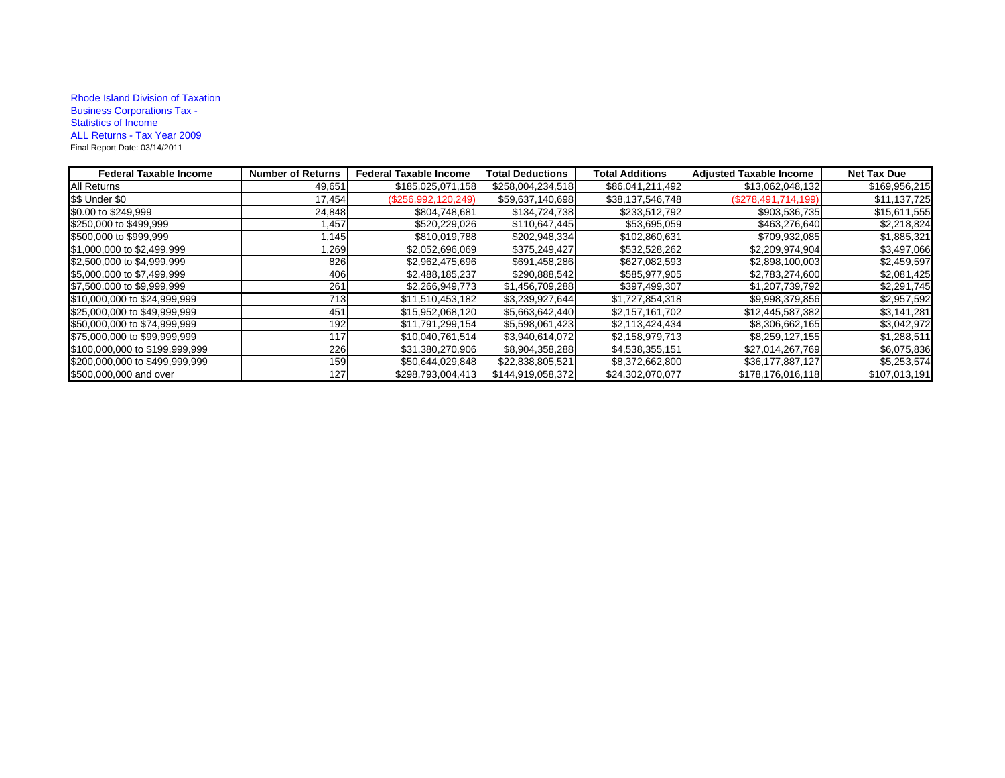## Rhode Island Division of Taxation Business Corporations Tax - Statistics of Income ALL Returns - Tax Year 2009 Final Report Date: 03/14/2011

| <b>Federal Taxable Income</b>  | <b>Number of Returns</b> | <b>Federal Taxable Income</b> | <b>Total Deductions</b> | <b>Total Additions</b> | <b>Adjusted Taxable Income</b> | <b>Net Tax Due</b> |
|--------------------------------|--------------------------|-------------------------------|-------------------------|------------------------|--------------------------------|--------------------|
| All Returns                    | 49,651                   | \$185,025,071,158             | \$258,004,234,518       | \$86,041,211,492       | \$13,062,048,132               | \$169,956,215      |
| \$\$ Under \$0                 | 17,454                   | (\$256,992,120,249)           | \$59,637,140,698        | \$38,137,546,748       | (\$278,491,714,199)            | \$11,137,725       |
| \$0.00 to \$249,999            | 24,848                   | \$804,748,681                 | \$134,724,738           | \$233,512,792          | \$903,536,735                  | \$15,611,555       |
| \$250,000 to \$499,999         | 1,457                    | \$520,229,026                 | \$110,647,445           | \$53,695,059           | \$463,276,640                  | \$2,218,824        |
| \$500,000 to \$999,999         | 1,145                    | \$810,019,788                 | \$202,948,334           | \$102,860,631          | \$709,932,085                  | \$1,885,321        |
| \$1,000,000 to \$2,499,999     | 1,269                    | \$2,052,696,069               | \$375,249,427           | \$532,528,262          | \$2,209,974,904                | \$3,497,066        |
| \$2,500,000 to \$4,999,999     | 826                      | \$2,962,475,696               | \$691,458,286           | \$627,082,593          | \$2,898,100,003                | \$2,459,597        |
| \$5,000,000 to \$7,499,999     | 406                      | \$2,488,185,237               | \$290,888,542           | \$585,977,905          | \$2,783,274,600                | \$2,081,425        |
| \$7,500,000 to \$9,999,999     | 261                      | \$2,266,949,773               | \$1,456,709,288         | \$397,499,307          | \$1,207,739,792                | \$2,291,745        |
| \$10,000,000 to \$24,999,999   | 713                      | \$11,510,453,182              | \$3,239,927,644         | \$1,727,854,318        | \$9,998,379,856                | \$2,957,592        |
| \$25,000,000 to \$49,999,999   | 451                      | \$15,952,068,120              | \$5,663,642,440         | \$2,157,161,702        | \$12,445,587,382               | \$3,141,281        |
| \$50,000,000 to \$74,999,999   | 192                      | \$11,791,299,154              | \$5,598,061,423         | \$2,113,424,434        | \$8,306,662,165                | \$3,042,972        |
| \$75,000,000 to \$99,999,999   | 117                      | \$10,040,761,514              | \$3,940,614,072         | \$2,158,979,713        | \$8,259,127,155                | \$1,288,511        |
| \$100,000,000 to \$199,999,999 | 226                      | \$31,380,270,906              | \$8,904,358,288         | \$4,538,355,151        | \$27,014,267,769               | \$6,075,836        |
| \$200,000,000 to \$499,999,999 | 159                      | \$50,644,029,848              | \$22,838,805,521        | \$8,372,662,800        | \$36,177,887,127               | \$5,253,574        |
| \$500,000,000 and over         | 127                      | \$298,793,004,413             | \$144,919,058,372       | \$24,302,070,077       | \$178,176,016,118              | \$107,013,191      |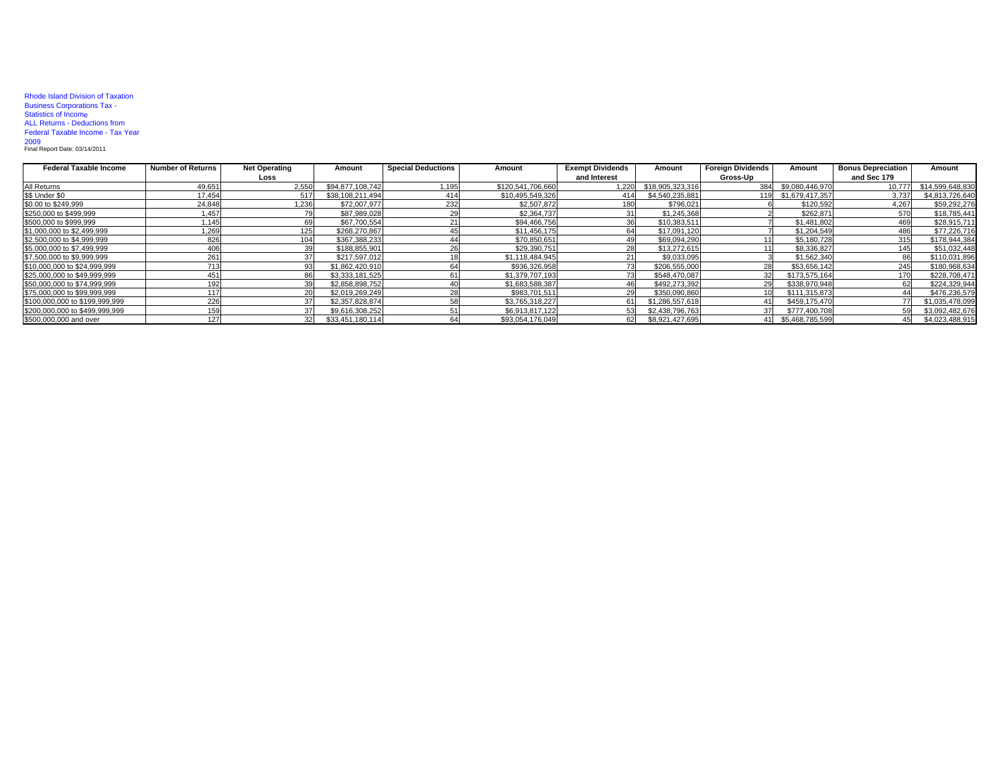## Rhode Island Division of Taxation Business Corporations Tax - Statistics of Income ALL Returns - Deductions from Federal Taxable Income - Tax Year

2009 Final Report Date: 03/14/2011

| <b>Federal Taxable Income</b>  | <b>Number of Returns</b> | <b>Net Operating</b> | Amount           | <b>Special Deductions</b> | Amount            | <b>Exempt Dividends</b> | Amount           | <b>Foreign Dividends</b> | Amount              | <b>Bonus Depreciation</b> | Amount           |
|--------------------------------|--------------------------|----------------------|------------------|---------------------------|-------------------|-------------------------|------------------|--------------------------|---------------------|---------------------------|------------------|
|                                |                          | Loss                 |                  |                           |                   | and Interest            |                  | Gross-Up                 |                     | and Sec 179               |                  |
| All Returns                    | 49,651                   | 2.550                | \$94.877.108.742 | 1,195                     | \$120.541.706.660 | 1.220                   | \$18,905,323,316 | 384                      | \$9.080.446.970     | 10.777                    | \$14,599,648,830 |
| \$\$ Under \$0                 | 17.454                   |                      | \$38,108,211,494 | 414                       | \$10.495.549.326  | 414                     | \$4,540,235,881  |                          | 119 \$1,679,417,357 | 3.737                     | \$4,813,726,640  |
| \$0.00 to \$249,999            | 24,848                   | ,236                 | \$72,007,977     | 232                       | \$2,507,872       | 180                     | \$796,021        |                          | \$120,592           | 4.267                     | \$59,292,276     |
| \$250,000 to \$499,999         | 1,457                    |                      | \$87,989,028     |                           | \$2,364,737       |                         | \$1.245.368      |                          | \$262,871           |                           | \$18,785,441     |
| \$500,000 to \$999,999         | 1,145                    | 69                   | \$67,700,554     |                           | \$94,466,756      |                         | \$10,383,511     |                          | \$1,481,802         |                           | \$28,915,711     |
| \$1,000,000 to \$2,499,999     | ',269                    |                      | \$268,270.867    |                           | \$11,456,175      |                         | \$17.091.120     |                          | \$1,204,549         |                           | \$77,226,716     |
| \$2,500,000 to \$4,999,999     | 826                      |                      | \$367,388,233    |                           | \$70,850,651      |                         | \$69,094,290     |                          | \$5,180,728         |                           | \$178,944,384    |
| \$5,000,000 to \$7,499,999     | 406                      | 39                   | \$188,855,901    |                           | \$29,390,751      |                         | \$13,272,615     |                          | \$8,336,827         |                           | \$51,032,448     |
| \$7,500,000 to \$9,999,999     | 261                      |                      | \$217,597,012    |                           | \$1,118,484,945   |                         | \$9,033,095      |                          | \$1,562,340         |                           | \$110,031,896    |
| \$10,000,000 to \$24,999,999   | 713                      | 93                   | \$1,862,420,910  |                           | \$936,326,958     |                         | \$206,555,000    | 28                       | \$53,656,142        | 245                       | \$180,968,634    |
| \$25,000,000 to \$49,999,999   | 451                      | 86                   | \$3,333,181,525  |                           | \$1,379,707,193   |                         | \$548,470,087    | 32                       | \$173,575,164       |                           | \$228,708,471    |
| \$50,000,000 to \$74,999,999   | 192                      | 39                   | \$2,858,898,752  |                           | \$1,683,588,387   |                         | \$492,273,392    | 29                       | \$338,970,948       |                           | \$224,329,944    |
| \$75,000,000 to \$99,999,999   | 117                      |                      | \$2,019,269,249  |                           | \$983.701.511     |                         | \$350,090,860    |                          | \$111,315,873       |                           | \$476,236,579    |
| \$100,000,000 to \$199,999,999 | 226                      |                      | \$2,357,828,874  |                           | \$3,765,318,227   |                         | \$1,286,557,618  |                          | \$459,175,470       |                           | \$1,035,478,099  |
| \$200,000,000 to \$499,999,999 | 159                      |                      | \$9.616.308.252  |                           | \$6.913.817.122   |                         | \$2,438,796,763  | 37                       | \$777,400,708       |                           | \$3,092,482,676  |
| \$500,000,000 and over         | 127                      | 32                   | \$33.451.180.114 |                           | \$93,054,176,049  |                         | \$8,921,427,695  |                          | 41 \$5,468,785,599  |                           | \$4,023,488,915  |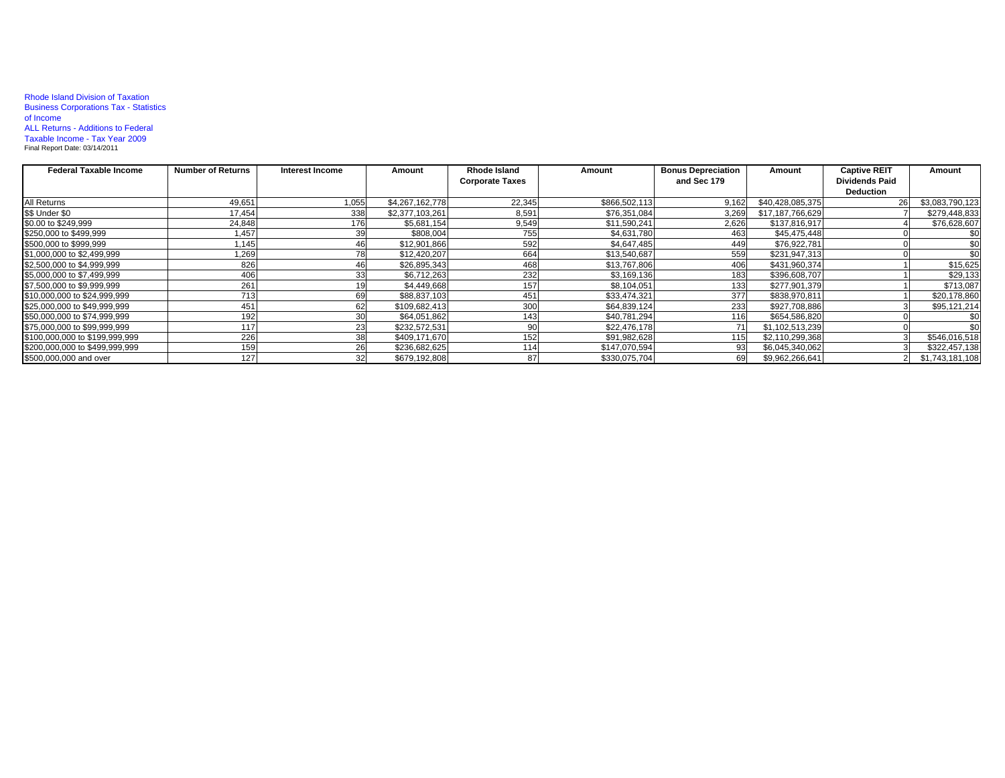## Rhode Island Division of Taxation Business Corporations Tax - Statistics of Income ALL Returns - Additions to Federal Taxable Income - Tax Year 2009 Final Report Date: 03/14/2011

| <b>Federal Taxable Income</b>  | <b>Number of Returns</b> | Interest Income | Amount          | Rhode Island           | Amount        | <b>Bonus Depreciation</b> | Amount           | <b>Captive REIT</b>   | Amount          |
|--------------------------------|--------------------------|-----------------|-----------------|------------------------|---------------|---------------------------|------------------|-----------------------|-----------------|
|                                |                          |                 |                 | <b>Corporate Taxes</b> |               | and Sec 179               |                  | <b>Dividends Paid</b> |                 |
|                                |                          |                 |                 |                        |               |                           |                  | <b>Deduction</b>      |                 |
| All Returns                    | 49,651                   | 1,055           | \$4,267,162,778 | 22,345                 | \$866,502,113 | 9.162                     | \$40,428,085,375 |                       | \$3,083,790,123 |
| \$\$ Under \$0                 | 17,454                   | 338             | \$2,377,103,261 | 8,591                  | \$76,351,084  | 3,269                     | \$17,187,766,629 |                       | \$279,448,833   |
| \$0.00 to \$249,999            | 24,848                   | 176             | \$5,681,154     | 9,549                  | \$11,590,241  | 2,626                     | \$137.816.917    |                       | \$76,628,607    |
| \$250,000 to \$499,999         | 1,457                    |                 | \$808,004       | 755                    | \$4,631,780   | 463                       | \$45,475,448     |                       | \$0             |
| \$500,000 to \$999,999         | 1.145                    | 46              | \$12,901,866    | 592                    | \$4,647,485   | 449                       | \$76,922,781     |                       | \$0             |
| \$1,000,000 to \$2,499,999     | 1,269                    | 78              | \$12,420,207    | 664                    | \$13,540,687  | 559                       | \$231,947,313    |                       | \$0             |
| \$2,500,000 to \$4,999,999     | 826                      | 46              | \$26,895,343    | 468                    | \$13,767,806  | 406                       | \$431,960,374    |                       | \$15,625        |
| \$5,000,000 to \$7,499,999     | 406                      |                 | \$6,712,263     | 232                    | \$3,169,136   | 183                       | \$396,608,707    |                       | \$29,133        |
| \$7,500,000 to \$9,999,999     | 261                      |                 | \$4,449,668     | 157                    | \$8,104,051   | 133                       | \$277,901,379    |                       | \$713,087       |
| \$10,000,000 to \$24,999,999   | 713                      | 69              | \$88,837,103    | 451                    | \$33,474,321  | 377                       | \$838,970,811    |                       | \$20,178,860    |
| \$25,000,000 to \$49,999,999   | 451                      | 62              | \$109,682,413   | 300                    | \$64,839,124  | 233                       | \$927,708,886    |                       | \$95,121,214    |
| \$50,000,000 to \$74,999,999   | 192                      |                 | \$64,051,862    | 143                    | \$40,781,294  | 116                       | \$654,586,820    |                       | \$0             |
| \$75,000,000 to \$99,999,999   | 117                      | 23              | \$232,572,531   |                        | \$22,476,178  |                           | \$1,102,513,239  |                       | \$0             |
| \$100,000,000 to \$199,999,999 | 226                      | 38              | \$409,171,670   | 152                    | \$91,982,628  | 115                       | \$2,110,299,368  |                       | \$546,016,518   |
| \$200,000,000 to \$499,999,999 | 159                      | 26              | \$236,682,625   | 114                    | \$147,070,594 | 93                        | \$6,045,340,062  |                       | \$322,457,138   |
| \$500,000,000 and over         | 127                      | 32              | \$679,192,808   | 87                     | \$330,075,704 | 69                        | \$9,962,266,641  |                       | \$1,743,181,108 |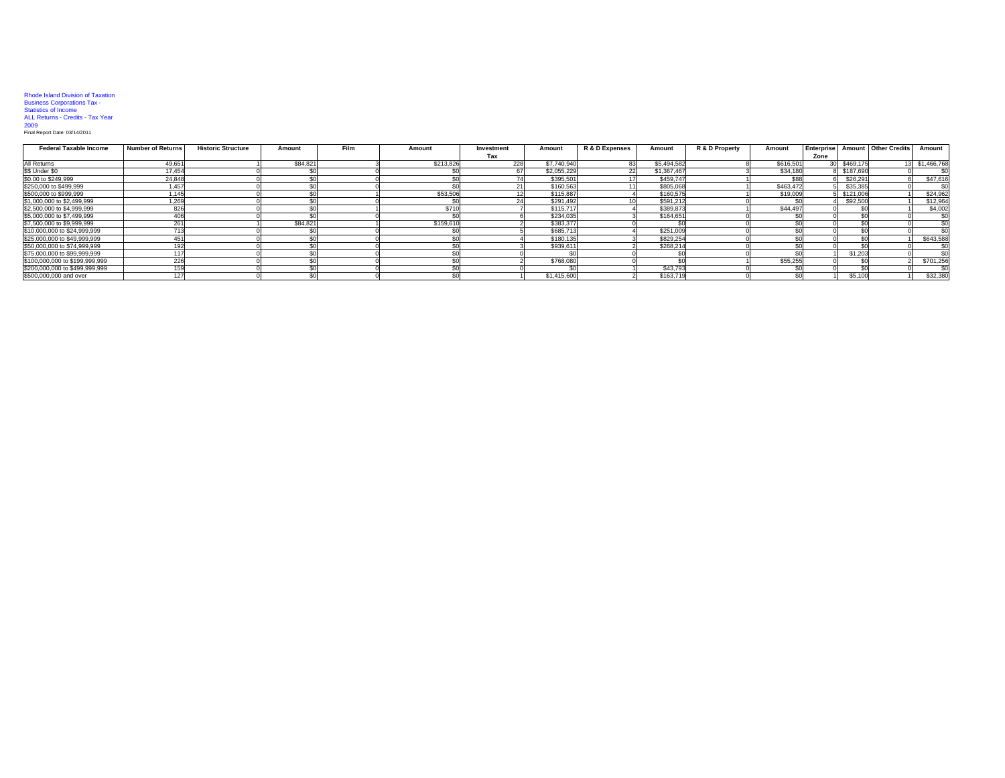## Rhode Island Division of Taxation Business Corporations Tax - Statistics of Income ALL Returns - Credits - Tax Year 2009 Final Report Date: 03/14/2011

| <b>Federal Taxable Income</b>  | <b>Number of Returns</b> | <b>Historic Structure</b> | Amount   | Film | Amount    | Investment | Amount      | R & D Expenses | Amount      | R & D Property | Amount    | Enterprise |           | Amount   Other Credits | Amount        |
|--------------------------------|--------------------------|---------------------------|----------|------|-----------|------------|-------------|----------------|-------------|----------------|-----------|------------|-----------|------------------------|---------------|
|                                |                          |                           |          |      |           | Tax        |             |                |             |                |           | Zone       |           |                        |               |
| All Returns                    | 49,651                   |                           | \$84,821 |      | \$213,826 | 228        | \$7,740,940 |                | \$5,494,582 |                | \$616,501 |            | \$469,175 |                        | 3 \$1,466,768 |
| \$\$ Under \$0                 | 17.454                   |                           |          |      |           |            | \$2,055,229 |                | \$1,367,467 |                | \$34,180  |            | \$187,690 |                        |               |
| \$0.00 to \$249,999            | 24.848                   |                           |          |      |           |            | \$395,501   |                | \$459,747   |                | \$88      |            | \$26,291  |                        | \$47,61       |
| \$250,000 to \$499,999         | 1.457                    |                           |          |      |           |            | \$160,563   |                | \$805.068   |                | \$463,472 |            | \$35,385  |                        |               |
| \$500,000 to \$999,999         | 1.1451                   |                           |          |      | \$53,506  |            | \$115,887   |                | \$160,575   |                | \$19,009  |            | \$121.006 |                        | \$24,96       |
| \$1,000,000 to \$2,499,999     | 1,269                    |                           |          |      |           |            | \$291.492   |                | \$591.212   |                |           |            | \$92,500  |                        | \$12,96       |
| \$2,500,000 to \$4,999,999     | 826                      |                           |          |      | \$710     |            | \$115,717   |                | \$389,873   |                | \$44,497  |            |           |                        | \$4,00        |
| \$5,000,000 to \$7,499,999     | 406                      |                           |          |      |           |            | \$234,035   |                | \$164,651   |                |           |            |           |                        |               |
| \$7,500,000 to \$9,999,999     | 261                      |                           | \$84.82  |      | \$159,610 |            | \$383,377   |                |             |                |           |            |           |                        |               |
| \$10,000,000 to \$24,999,999   | 713                      |                           |          |      |           |            | \$685,713   |                | \$251,009   |                |           |            |           |                        |               |
| \$25,000,000 to \$49,999,999   | 451                      |                           |          |      |           |            | \$180.135   |                | \$829.254   |                |           |            |           |                        | \$643,588     |
| \$50,000,000 to \$74,999,999   | 192                      |                           |          |      |           |            | \$939,61    |                | \$268,214   |                |           |            |           |                        |               |
| \$75,000,000 to \$99,999,999   | 1171                     |                           |          |      |           |            |             |                |             |                |           |            | \$1,203   |                        |               |
| \$100,000,000 to \$199,999,999 | 226                      |                           |          |      |           |            | \$768,080   |                |             |                | \$55,255  |            |           |                        | \$701,25      |
| \$200,000,000 to \$499,999,999 | 159                      |                           |          |      |           |            |             |                | \$43,793    |                |           |            |           |                        |               |
| \$500,000,000 and over         | 127                      |                           |          |      |           |            | \$1,415,600 |                | \$163,719   |                |           |            | \$5,100   |                        | \$32,38       |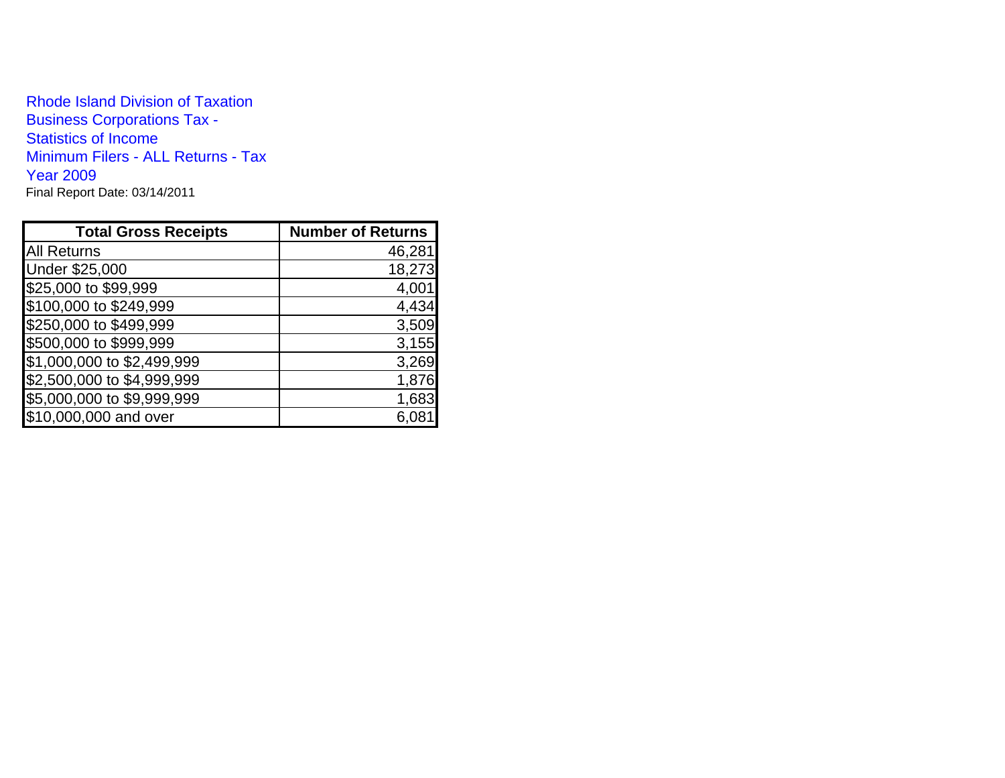Rhode Island Division of TaxationBusiness Corporations Tax - Statistics of Income Minimum Filers - ALL Returns - Tax Year 2009Final Report Date: 03/14/2011

| <b>Total Gross Receipts</b> | <b>Number of Returns</b> |
|-----------------------------|--------------------------|
| <b>All Returns</b>          | 46,281                   |
| Under \$25,000              | 18,273                   |
| \$25,000 to \$99,999        | 4,001                    |
| \$100,000 to \$249,999      | 4,434                    |
| \$250,000 to \$499,999      | 3,509                    |
| \$500,000 to \$999,999      | 3,155                    |
| \$1,000,000 to \$2,499,999  | 3,269                    |
| \$2,500,000 to \$4,999,999  | 1,876                    |
| \$5,000,000 to \$9,999,999  | 1,683                    |
| \$10,000,000 and over       | 6,08                     |